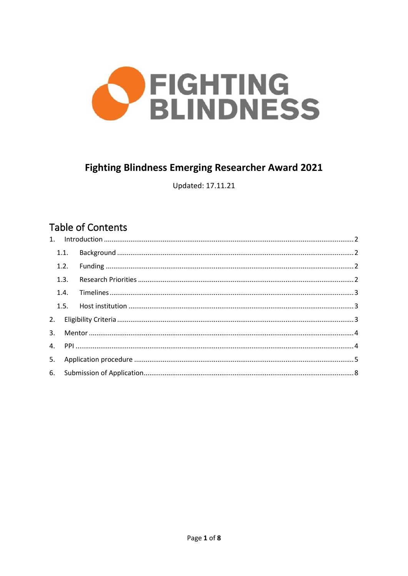

# **Fighting Blindness Emerging Researcher Award 2021**

Updated: 17.11.21

# **Table of Contents**

| 1.1. |  |  |  |  |
|------|--|--|--|--|
|      |  |  |  |  |
| 1.3. |  |  |  |  |
| 1.4. |  |  |  |  |
|      |  |  |  |  |
|      |  |  |  |  |
|      |  |  |  |  |
|      |  |  |  |  |
|      |  |  |  |  |
|      |  |  |  |  |
|      |  |  |  |  |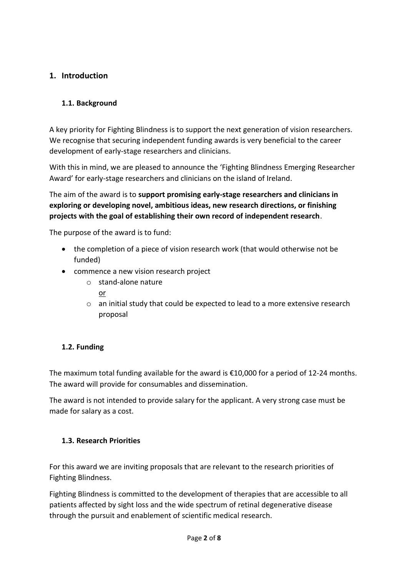# <span id="page-1-0"></span>**1. Introduction**

# <span id="page-1-1"></span>**1.1. Background**

A key priority for Fighting Blindness is to support the next generation of vision researchers. We recognise that securing independent funding awards is very beneficial to the career development of early-stage researchers and clinicians.

With this in mind, we are pleased to announce the 'Fighting Blindness Emerging Researcher Award' for early-stage researchers and clinicians on the island of Ireland.

The aim of the award is to **support promising early-stage researchers and clinicians in exploring or developing novel, ambitious ideas, new research directions, or finishing projects with the goal of establishing their own record of independent research**.

The purpose of the award is to fund:

- the completion of a piece of vision research work (that would otherwise not be funded)
- commence a new vision research project
	- o stand-alone nature
		- or
	- o an initial study that could be expected to lead to a more extensive research proposal

# <span id="page-1-2"></span>**1.2. Funding**

The maximum total funding available for the award is €10,000 for a period of 12-24 months. The award will provide for consumables and dissemination.

The award is not intended to provide salary for the applicant. A very strong case must be made for salary as a cost.

# <span id="page-1-3"></span>**1.3. Research Priorities**

For this award we are inviting proposals that are relevant to the research priorities of Fighting Blindness.

Fighting Blindness is committed to the development of therapies that are accessible to all patients affected by sight loss and the wide spectrum of retinal degenerative disease through the pursuit and enablement of scientific medical research.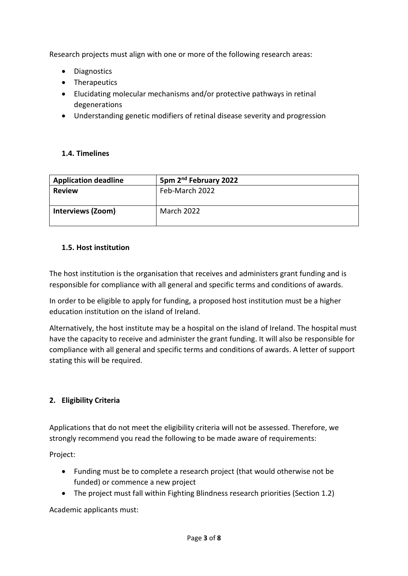Research projects must align with one or more of the following research areas:

- Diagnostics
- Therapeutics
- Elucidating molecular mechanisms and/or protective pathways in retinal degenerations
- Understanding genetic modifiers of retinal disease severity and progression

#### <span id="page-2-0"></span>**1.4. Timelines**

| <b>Application deadline</b> | 5pm 2 <sup>nd</sup> February 2022 |
|-----------------------------|-----------------------------------|
| <b>Review</b>               | Feb-March 2022                    |
| <b>Interviews (Zoom)</b>    | March 2022                        |

## <span id="page-2-1"></span>**1.5. Host institution**

The host institution is the organisation that receives and administers grant funding and is responsible for compliance with all general and specific terms and conditions of awards.

In order to be eligible to apply for funding, a proposed host institution must be a higher education institution on the island of Ireland.

Alternatively, the host institute may be a hospital on the island of Ireland. The hospital must have the capacity to receive and administer the grant funding. It will also be responsible for compliance with all general and specific terms and conditions of awards. A letter of support stating this will be required.

# <span id="page-2-2"></span>**2. Eligibility Criteria**

Applications that do not meet the eligibility criteria will not be assessed. Therefore, we strongly recommend you read the following to be made aware of requirements:

Project:

- Funding must be to complete a research project (that would otherwise not be funded) or commence a new project
- The project must fall within Fighting Blindness research priorities (Section 1.2)

Academic applicants must: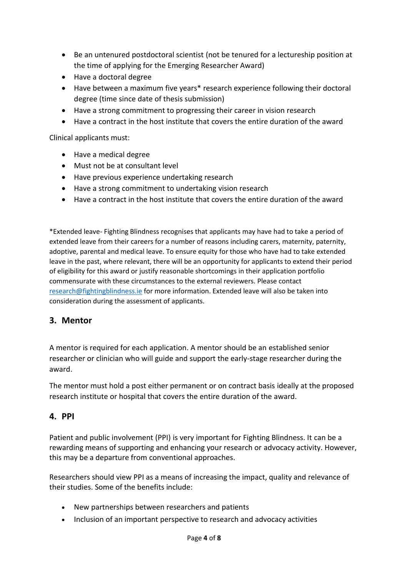- Be an untenured postdoctoral scientist (not be tenured for a lectureship position at the time of applying for the Emerging Researcher Award)
- Have a doctoral degree
- Have between a maximum five years\* research experience following their doctoral degree (time since date of thesis submission)
- Have a strong commitment to progressing their career in vision research
- Have a contract in the host institute that covers the entire duration of the award

Clinical applicants must:

- Have a medical degree
- Must not be at consultant level
- Have previous experience undertaking research
- Have a strong commitment to undertaking vision research
- Have a contract in the host institute that covers the entire duration of the award

\*Extended leave- Fighting Blindness recognises that applicants may have had to take a period of extended leave from their careers for a number of reasons including carers, maternity, paternity, adoptive, parental and medical leave. To ensure equity for those who have had to take extended leave in the past, where relevant, there will be an opportunity for applicants to extend their period of eligibility for this award or justify reasonable shortcomings in their application portfolio commensurate with these circumstances to the external reviewers. Please contact [research@fightingblindness.ie](mailto:research@fightingblindness.ie) for more information. Extended leave will also be taken into consideration during the assessment of applicants.

# <span id="page-3-0"></span>**3. Mentor**

A mentor is required for each application. A mentor should be an established senior researcher or clinician who will guide and support the early-stage researcher during the award.

The mentor must hold a post either permanent or on contract basis ideally at the proposed research institute or hospital that covers the entire duration of the award.

#### <span id="page-3-1"></span>**4. PPI**

Patient and public involvement (PPI) is very important for Fighting Blindness. It can be a rewarding means of supporting and enhancing your research or advocacy activity. However, this may be a departure from conventional approaches.

Researchers should view PPI as a means of increasing the impact, quality and relevance of their studies. Some of the benefits include:

- New partnerships between researchers and patients
- Inclusion of an important perspective to research and advocacy activities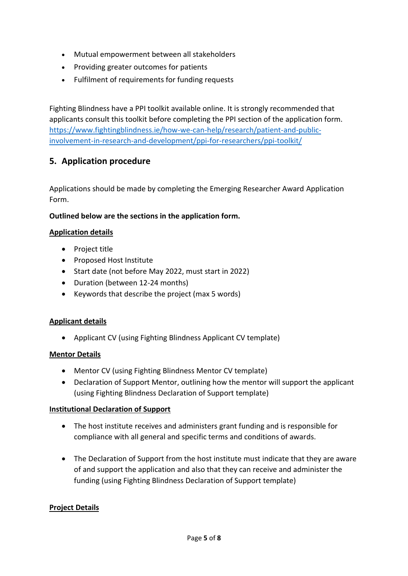- Mutual empowerment between all stakeholders
- Providing greater outcomes for patients
- Fulfilment of requirements for funding requests

Fighting Blindness have a PPI toolkit available online. It is strongly recommended that applicants consult this toolkit before completing the PPI section of the application form. [https://www.fightingblindness.ie/how-we-can-help/research/patient-and-public](https://www.fightingblindness.ie/how-we-can-help/research/patient-and-public-involvement-in-research-and-development/ppi-for-researchers/ppi-toolkit/)[involvement-in-research-and-development/ppi-for-researchers/ppi-toolkit/](https://www.fightingblindness.ie/how-we-can-help/research/patient-and-public-involvement-in-research-and-development/ppi-for-researchers/ppi-toolkit/)

# <span id="page-4-0"></span>**5. Application procedure**

Applications should be made by completing the Emerging Researcher Award Application Form.

## **Outlined below are the sections in the application form.**

## **Application details**

- Project title
- Proposed Host Institute
- Start date (not before May 2022, must start in 2022)
- Duration (between 12-24 months)
- Keywords that describe the project (max 5 words)

#### **Applicant details**

• Applicant CV (using Fighting Blindness Applicant CV template)

#### **Mentor Details**

- Mentor CV (using Fighting Blindness Mentor CV template)
- Declaration of Support Mentor, outlining how the mentor will support the applicant (using Fighting Blindness Declaration of Support template)

#### **Institutional Declaration of Support**

- The host institute receives and administers grant funding and is responsible for compliance with all general and specific terms and conditions of awards.
- The Declaration of Support from the host institute must indicate that they are aware of and support the application and also that they can receive and administer the funding (using Fighting Blindness Declaration of Support template)

#### **Project Details**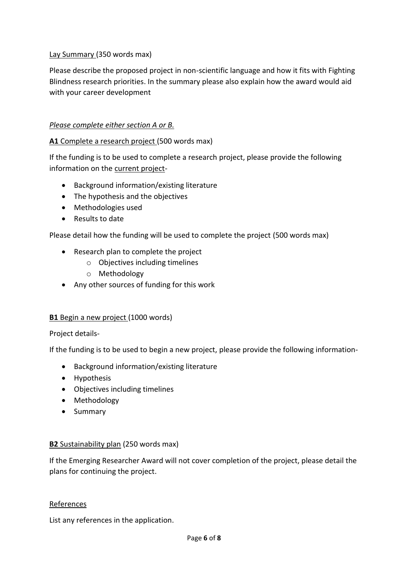## Lay Summary (350 words max)

Please describe the proposed project in non-scientific language and how it fits with Fighting Blindness research priorities. In the summary please also explain how the award would aid with your career development

#### *Please complete either section A or B.*

#### **A1** Complete a research project (500 words max)

If the funding is to be used to complete a research project, please provide the following information on the current project-

- Background information/existing literature
- The hypothesis and the objectives
- Methodologies used
- Results to date

Please detail how the funding will be used to complete the project (500 words max)

- Research plan to complete the project
	- o Objectives including timelines
	- o Methodology
- Any other sources of funding for this work

#### **B1** Begin a new project (1000 words)

#### Project details-

If the funding is to be used to begin a new project, please provide the following information-

- Background information/existing literature
- Hypothesis
- Objectives including timelines
- Methodology
- Summary

#### **B2** Sustainability plan (250 words max)

If the Emerging Researcher Award will not cover completion of the project, please detail the plans for continuing the project.

#### References

List any references in the application.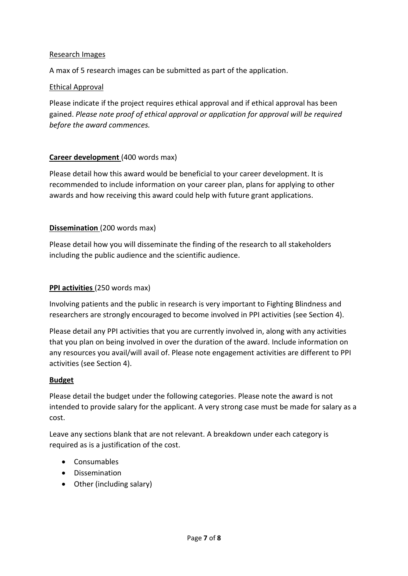#### Research Images

A max of 5 research images can be submitted as part of the application.

#### Ethical Approval

Please indicate if the project requires ethical approval and if ethical approval has been gained. *Please note proof of ethical approval or application for approval will be required before the award commences.*

#### **Career development** (400 words max)

Please detail how this award would be beneficial to your career development. It is recommended to include information on your career plan, plans for applying to other awards and how receiving this award could help with future grant applications.

#### **Dissemination** (200 words max)

Please detail how you will disseminate the finding of the research to all stakeholders including the public audience and the scientific audience.

#### **PPI activities** (250 words max)

Involving patients and the public in research is very important to Fighting Blindness and researchers are strongly encouraged to become involved in PPI activities (see Section 4).

Please detail any PPI activities that you are currently involved in, along with any activities that you plan on being involved in over the duration of the award. Include information on any resources you avail/will avail of. Please note engagement activities are different to PPI activities (see Section 4).

#### **Budget**

Please detail the budget under the following categories. Please note the award is not intended to provide salary for the applicant. A very strong case must be made for salary as a cost.

Leave any sections blank that are not relevant. A breakdown under each category is required as is a justification of the cost.

- Consumables
- Dissemination
- Other (including salary)